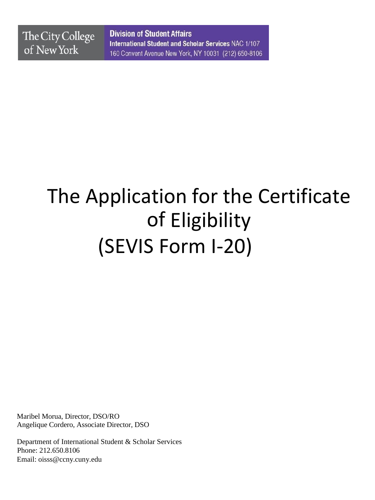**Division of Student Affairs** International Student and Scholar Services NAC 1/107 160 Convent Avenue New York, NY 10031 (212) 650-8106

# The Application for the Certificate of Eligibility (SEVIS Form I-20)

Maribel Morua, Director, DSO/RO Angelique Cordero, Associate Director, DSO

Department of International Student & Scholar Services Phone: 212.650.8106 Emai[l: oisss@ccny.cuny.edu](mailto:oisss@ccny.cuny.edu)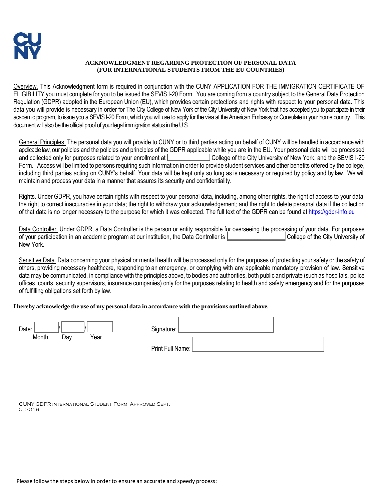# **ACKNOWLEDGMENT REGARDING PROTECTION OF PERSONAL DATA (FOR INTERNATIONAL STUDENTS FROM THE EU COUNTRIES)**

Overview. This Acknowledgment form is required in conjunction with the CUNY APPLICATION FOR THE IMMIGRATION CERTIFICATE OF ELIGIBILITY you must complete for you to be issued the SEVIS I-20 Form. You are coming from a country subject to the General Data Protection Regulation (GDPR) adopted in the European Union (EU), which provides certain protections and rights with respect to your personal data. This data you will provide is necessary in order for The City College of New York of the City University of New York that has accepted you to participate in their academic program, to issue you a SEVIS I-20 Form, which you will use to apply for the visa at the American Embassy or Consulate in your home country. This document will also be the official proof of your legal immigration status in the U.S.

General Principles. The personal data you will provide to CUNY or to third parties acting on behalf of CUNY will be handled in accordance with applicable law, our policies and the policies and principles of the GDPR applicable while you are in the EU. Your personal data will be processed and collected only for purposes related to your enrollment at College of the City University of New York, and the SEVIS I-20 Form. Access will be limited to persons requiring such information in order to provide student services and other benefits offered by the college, including third parties acting on CUNY's behalf. Your data will be kept only so long as is necessary or required by policy and by law. We will maintain and process your data in a manner that assures its security and confidentiality.

Rights. Under GDPR, you have certain rights with respect to your personal data, including, among other rights, the right of access to your data; the right to correct inaccuracies in your data; the right to withdraw your acknowledgement; and the right to delete personal data if the collection of that data is no longer necessary to the purpose for which it was collected. The full text of the GDPR can be found at [https://gdpr-info.eu](https://gdpr-info.eu/)

Data Controller. Under GDPR, a Data Controller is the person or entity responsible for overseeing the processing of your data. For purposes of your participation in an academic program at our institution, the Data Controller is **Dependent College of the City University of** New York.

Sensitive Data. Data concerning your physical or mental health will be processed only for the purposes of protecting your safety or the safety of others, providing necessary healthcare, responding to an emergency, or complying with any applicable mandatory provision of law. Sensitive data may be communicated, in compliance with the principles above, to bodies and authorities, both public and private (such as hospitals, police offices, courts, security supervisors, insurance companies) only for the purposes relating to health and safety emergency and for the purposes of fulfilling obligations set forth by law.

# **I hereby acknowledge the use of my personal data in accordance with the provisions outlined above.**

| Date: |     |      | Signature:       |  |
|-------|-----|------|------------------|--|
| Month | Day | Year |                  |  |
|       |     |      | Print Full Name: |  |

CUNY GDPR international Student Form Approved Sept. 5, 2018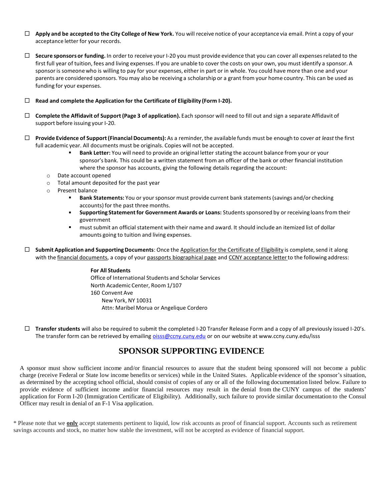- **Apply and be accepted to the City College of New York.** You will receive notice of your acceptance via email. Print a copy of your acceptance letter for your records.
- **Secure sponsors or funding.** In order to receive your I-20 you must provide evidence that you can cover all expensesrelated to the first full year of tuition, fees and living expenses. If you are unable to cover the costs on your own, you must identify a sponsor. A sponsoris someonewho is willing to pay for your expenses, either in part or in whole. You could have more than one and your parents are considered sponsors. You may also be receiving a scholarship or a grant from your home country. This can be used as funding for your expenses.
- **Read and complete the Application for the Certificate of Eligibility (Form I-20).**
- **Complete the Affidavit of Support(Page 3 of application).** Each sponsor will need to fill out and sign a separate Affidavit of support before issuing your I-20.
- **Provide Evidence of Support(FinancialDocuments):** As a reminder,the available funds must be enough to cover *at least* the first full academic year. All documents must be originals. Copies will not be accepted.
	- **Bank Letter:** You will need to provide an original letter stating the account balance from your or your sponsor's bank. This could be a written statement from an officer of the bank or other financial institution where the sponsor has accounts, giving the following details regarding the account:
	- o Date account opened
	- o Total amount deposited for the past year
	- o Present balance
		- **EXECT:** Bank Statements: You or your sponsor must provide current bank statements (savings and/or checking accounts) for the past three months.
		- **Supporting Statementfor Government Awards or Loans:** Studentssponsored by or receiving loansfrom their government
		- must submit an official statement with their name and award. It should include an itemized list of dollar amounts going to tuition and living expenses.

 $\Box$  **Submit Application and Supporting Documents:** Once the Application for the Certificate of Eligibility is complete, send it along with the financial documents, a copy of your passports biographical page and CCNY acceptance letter to the following address:

# **For All Students** Office of International Students and Scholar Services North Academic Center, Room 1/107 160 Convent Ave New York, NY 10031 Attn: Maribel Morua or Angelique Cordero

 **Transfer students** will also be required to submit the completed I-20 Transfer Release Form and a copy of all previously issued I-20's. The transfer form can be retrieved by emailing [oisss@ccny.cuny.edu](mailto:oisss@ccny.cuny.edu) or on our website at www.ccny.cuny.edu/isss

# **SPONSOR SUPPORTING EVIDENCE**

A sponsor must show sufficient income and/or financial resources to assure that the student being sponsored will not become a public charge (receive Federal or State low income benefits or services) while in the United States. Applicable evidence of the sponsor's situation, as determined by the accepting school official, should consist of copies of any or all of the following documentation listed below. Failure to provide evidence of sufficient income and/or financial resources may result in the denial from the CUNY campus of the students' application for Form I-20 (Immigration Certificate of Eligibility). Additionally, such failure to provide similar documentation to the Consul Officer may result in denial of an F-1 Visa application.

\* Please note that we **only** accept statements pertinent to liquid, low risk accounts as proof of financial support. Accounts such as retirement savings accounts and stock, no matter how stable the investment, will not be accepted as evidence of financial support.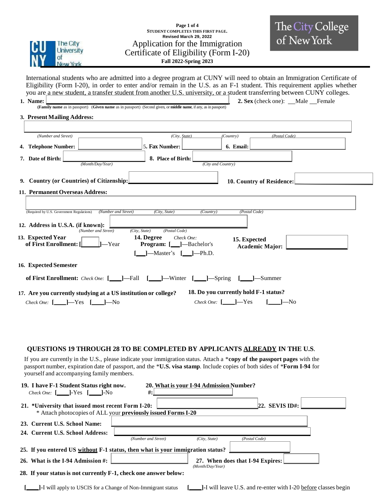

## **Page 1 of 4 STUDENT COMPLETES THIS FIRST PAGE. Revised March 29, 2022** Application for the Immigration Certificate of Eligibility (Form I-20) **Fall 2022-Spring 2023**

International students who are admitted into a degree program at CUNY will need to obtain an Immigration Certificate of Eligibility (Form I-20), in order to enter and/or remain in the U.S. as an F-1 student. This requirement applies whether you are a new student, a transfer student from another U.S. university, or a student transferring between CUNY colleges. **1. Name: 2. Sex** (check one):  $\Box$  Male  $\Box$  Female

**(Family name** as in passport) (**Given name** as in passport) (Second given, or **middle name**, if any, as in passport)

#### **3. Present Mailing Address:**

| (Number and Street)                                                               | (City, State)                                                                          | (Country)                                     | (Postal Code) |  |
|-----------------------------------------------------------------------------------|----------------------------------------------------------------------------------------|-----------------------------------------------|---------------|--|
| 4. Telephone Number:                                                              | 5. Fax Number:                                                                         | 6. Email:                                     |               |  |
| 7. Date of Birth:<br>(Month/Day/Year)                                             | 8. Place of Birth:                                                                     | (City and Country)                            |               |  |
|                                                                                   |                                                                                        |                                               |               |  |
| Country (or Countries) of Citizenship:<br>9.                                      |                                                                                        | 10. Country of Residence:                     |               |  |
| 11. Permanent Overseas Address:                                                   |                                                                                        |                                               |               |  |
|                                                                                   |                                                                                        |                                               |               |  |
| (Number and Street)<br>(Required by U.S. Government Regulations)                  | (City, State)                                                                          | (Postal Code)<br>(Country)                    |               |  |
| 12. Address in U.S.A. (if known):<br>(Number and Street)                          | (Postal Code)<br>(City, State)                                                         |                                               |               |  |
| 13. Expected Year<br>of First Enrollment: [<br>-Year                              | 14. Degree<br>Check One:<br>-Bachelor's<br><b>Program:</b> $[\_$<br>Master's<br>-Ph.D. | 15. Expected<br><b>Academic Major:</b>        |               |  |
| 16. Expected Semester                                                             |                                                                                        |                                               |               |  |
| of First Enrollment: Check One:                                                   | -Fall<br>$\perp$ -Winter                                                               | -Spring                                       | -Summer       |  |
| 17. Are you currently studying at a US institution or college?                    |                                                                                        | 18. Do you currently hold F-1 status?         |               |  |
| Check One: $[\underline{\Box}]$ $\rightarrow$ Yes $[\underline{\Box}]$<br>$l$ —No |                                                                                        | $I - Yes$<br>Check One: $\lceil \cdot \rceil$ | $1 - No$      |  |

## **QUESTIONS 19 THROUGH 28 TO BE COMPLETED BY APPLICANTS ALREADY IN THE U.S**.

If you are currently in the U.S., please indicate your immigration status. Attach a \***copy of the passport pages** with the passport number, expiration date of passport, and the \***U.S. visa stamp**. Include copies of both sides of \***Form I-94** for yourself and accompanying family members.

| 19. I have F-1 Student Status right now.<br><i>Check One:</i> $[\_]$ [ $\_$ ] - Yes $[\_]$ [ $\_$ ] - No            | #:                  | 20. What is your I-94 Admission Number? |                                                                 |  |  |  |
|---------------------------------------------------------------------------------------------------------------------|---------------------|-----------------------------------------|-----------------------------------------------------------------|--|--|--|
| 21. *University that issued most recent Form I-20:<br>* Attach photocopies of ALL your previously issued Forms I-20 |                     |                                         | $ 22.$ SEVIS ID#:                                               |  |  |  |
| 23. Current U.S. School Name:                                                                                       |                     |                                         |                                                                 |  |  |  |
| 24. Current U.S. School Address:                                                                                    |                     |                                         |                                                                 |  |  |  |
|                                                                                                                     | (Number and Street) | (City, State)                           | (Postal Code)                                                   |  |  |  |
| 25. If you entered US without F-1 status, then what is your immigration status?                                     |                     |                                         |                                                                 |  |  |  |
| 26. What is the I-94 Admission #:                                                                                   |                     | (Month/Day/Year)                        | 27. When does that I-94 Expires:                                |  |  |  |
| 28. If your status is not currently F-1, check one answer below:                                                    |                     |                                         |                                                                 |  |  |  |
| <b>-</b> I will apply to USCIS for a Change of Non-Immigrant status                                                 |                     |                                         | 1-I will leave U.S. and re-enter with I-20 before classes begin |  |  |  |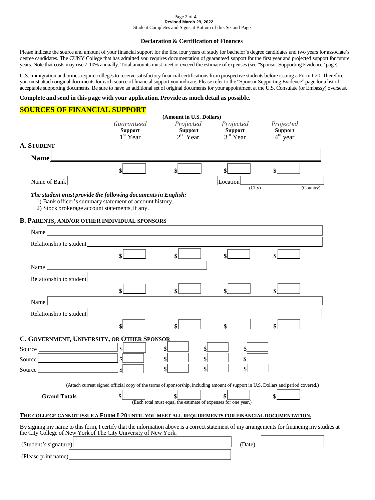#### Page 2 of 4 **Revised March 29, 2022** Student Completes and Signs at Bottom of this Second Page

#### **Declaration & Certification of Finances**

Please indicate the source and amount of your financial support for the first four years of study for bachelor's degree candidates and two years for associate's degree candidates. The CUNY College that has admitted you requires documentation of guaranteed support for the first year and projected support for future years. Note that costs may rise 7-10% annually. Total amounts must meet or exceed the estimate of expenses (see "Sponsor Supporting Evidence" page).

U.S. immigration authorities require colleges to receive satisfactory financial certifications from prospective students before issuing a Form I-20. Therefore, you must attach original documents for each source of financial support you indicate. Please refer to the "Sponsor Supporting Evidence" page for a list of acceptable supporting documents. Be sure to have an additional set of original documents for your appointment at the U.S. Consulate (or Embassy) overseas.

#### **Complete and send in this page with your application. Provide as much detail as possible.**

# **SOURCES OF FINANCIAL SUPPORT**

|                                                                                                                                                                                                                 |                                                                                                                                    | (Amount in U.S. Dollars)                                             |                                           |                                                     |
|-----------------------------------------------------------------------------------------------------------------------------------------------------------------------------------------------------------------|------------------------------------------------------------------------------------------------------------------------------------|----------------------------------------------------------------------|-------------------------------------------|-----------------------------------------------------|
|                                                                                                                                                                                                                 | Guaranteed<br><b>Support</b><br>$1st$ Year                                                                                         | Projected<br><b>Support</b><br>$2nd$ Year                            | Projected<br><b>Support</b><br>$3rd$ Year | Projected<br><b>Support</b><br>4 <sup>th</sup> year |
| <b>A. STUDENT</b>                                                                                                                                                                                               |                                                                                                                                    |                                                                      |                                           |                                                     |
| <b>Name</b>                                                                                                                                                                                                     |                                                                                                                                    |                                                                      |                                           |                                                     |
|                                                                                                                                                                                                                 | \$                                                                                                                                 | \$                                                                   |                                           | \$                                                  |
| Name of Bank                                                                                                                                                                                                    |                                                                                                                                    |                                                                      | Location                                  |                                                     |
| The student must provide the following documents in English:<br>1) Bank officer's summary statement of account history.<br>2) Stock brokerage account statements, if any.                                       |                                                                                                                                    |                                                                      | (City)                                    | (Country)                                           |
| <b>B. PARENTS, AND/OR OTHER INDIVIDUAL SPONSORS</b>                                                                                                                                                             |                                                                                                                                    |                                                                      |                                           |                                                     |
| Name                                                                                                                                                                                                            |                                                                                                                                    |                                                                      |                                           |                                                     |
| Relationship to student                                                                                                                                                                                         |                                                                                                                                    |                                                                      |                                           |                                                     |
|                                                                                                                                                                                                                 | \$                                                                                                                                 | \$                                                                   | \$                                        | \$                                                  |
| Name                                                                                                                                                                                                            |                                                                                                                                    |                                                                      |                                           |                                                     |
| Relationship to student                                                                                                                                                                                         |                                                                                                                                    |                                                                      |                                           |                                                     |
|                                                                                                                                                                                                                 | \$                                                                                                                                 | \$                                                                   | \$                                        | \$                                                  |
| Name                                                                                                                                                                                                            |                                                                                                                                    |                                                                      |                                           |                                                     |
| Relationship to student                                                                                                                                                                                         |                                                                                                                                    |                                                                      |                                           |                                                     |
|                                                                                                                                                                                                                 |                                                                                                                                    | \$                                                                   |                                           |                                                     |
|                                                                                                                                                                                                                 |                                                                                                                                    |                                                                      |                                           |                                                     |
| C. GOVERNMENT, UNIVERSITY, OR OTHER SPONSOR<br>Source                                                                                                                                                           | \$                                                                                                                                 | \$                                                                   | S                                         |                                                     |
| Source                                                                                                                                                                                                          | $\mathbf{s}$                                                                                                                       | \$                                                                   | \$                                        |                                                     |
| Source                                                                                                                                                                                                          | $\mathbb{S}^{\mathbb{I}}$                                                                                                          | \$                                                                   | \$                                        |                                                     |
|                                                                                                                                                                                                                 |                                                                                                                                    |                                                                      |                                           |                                                     |
|                                                                                                                                                                                                                 | (Attach current signed official copy of the terms of sponsorship, including amount of support in U.S. Dollars and period covered.) |                                                                      |                                           |                                                     |
| <b>Grand Totals</b>                                                                                                                                                                                             | \$                                                                                                                                 | \$<br>(Each total must equal the estimate of expenses for one year.) |                                           | \$                                                  |
|                                                                                                                                                                                                                 |                                                                                                                                    |                                                                      |                                           |                                                     |
| THE COLLEGE CANNOT ISSUE A FORM I-20 UNTIL YOU MEET ALL REOUIREMENTS FOR FINANCIAL DOCUMENTATION.                                                                                                               |                                                                                                                                    |                                                                      |                                           |                                                     |
| By signing my name to this form, I certify that the information above is a correct statement of my arrangements for financing my studies at<br>the City College of New York of The City University of New York. |                                                                                                                                    |                                                                      |                                           |                                                     |
| (Student's signature)                                                                                                                                                                                           |                                                                                                                                    |                                                                      | (Date)                                    |                                                     |
| (Please print name)                                                                                                                                                                                             |                                                                                                                                    |                                                                      |                                           |                                                     |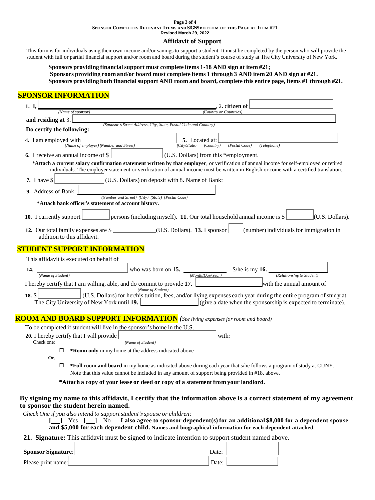#### **Page 3 of 4 SPONSOR COMPLETES RELEVANT ITEMS AND SIGNSBOTTOM OF THIS PAGE AT ITEM #21 Revised March 29, 2022**

# **Affidavit of Support**

This form is for individuals using their own income and/or savings to support a student. It must be completed by the person who will provide the student with full or partial financial support and/or room and board during the student's course of study at The City University of New York.

**Sponsors providing financial support must complete items 1-18 AND sign at item #21; Sponsors providing room and/or board must complete items 1 through 3 AND item 20 AND sign at #21. Sponsors providing both financial support AND room and board, complete this entire page, items #1 through #21.**

F

# **SPONSOR INFORMATION**

| 1. I.                                                                                                 | 2. citizen of                                                                                                                                                                                                                                                                    |
|-------------------------------------------------------------------------------------------------------|----------------------------------------------------------------------------------------------------------------------------------------------------------------------------------------------------------------------------------------------------------------------------------|
| (Name of sponsor)                                                                                     | (Country or Countries)                                                                                                                                                                                                                                                           |
| and residing at 3.                                                                                    | (Sponsor's Street Address, City, State, Postal Code and Country)                                                                                                                                                                                                                 |
| Do certify the following:                                                                             |                                                                                                                                                                                                                                                                                  |
| 4. I am employed with<br>(Name of employer) (Number and Street)                                       | 5. Located at:<br>(Postal Code)<br>(Telephone)<br>(City/State)<br>(Country)                                                                                                                                                                                                      |
| 6. I receive an annual income of \$                                                                   | (U.S. Dollars) from this *employment.                                                                                                                                                                                                                                            |
|                                                                                                       | *Attach a current salary confirmation statement written by that employer, or verification of annual income for self-employed or retired<br>individuals. The employer statement or verification of annual income must be written in English or come with a certified translation. |
| 7. I have \$                                                                                          | (U.S. Dollars) on deposit with 8. Name of Bank:                                                                                                                                                                                                                                  |
| 9. Address of Bank:                                                                                   | (Number and Street) (City) (State) (Postal Code)                                                                                                                                                                                                                                 |
| *Attach bank officer's statement of account history.                                                  |                                                                                                                                                                                                                                                                                  |
| 10. I currently support                                                                               | persons (including myself). 11. Our total household annual income is \$<br>$\vert$ (U.S. Dollars).                                                                                                                                                                               |
| 12. Our total family expenses are \$<br>addition to this affidavit.                                   | $(U.S.$ Dollars). <b>13.</b> I sponsor<br>$\lambda$ (number) individuals for immigration in                                                                                                                                                                                      |
| <b>STUDENT SUPPORT INFORMATION</b>                                                                    |                                                                                                                                                                                                                                                                                  |
| This affidavit is executed on behalf of                                                               |                                                                                                                                                                                                                                                                                  |
| 14.                                                                                                   | who was born on 15.<br>S/he is my $16$ .                                                                                                                                                                                                                                         |
| (Name of Student)                                                                                     | (Relationship to Student)<br>(Month/Dav/Year)                                                                                                                                                                                                                                    |
| I hereby certify that I am willing, able, and do commit to provide 17.                                | with the annual amount of<br>(Name of Student)                                                                                                                                                                                                                                   |
| $18.$ \$                                                                                              | (U.S. Dollars) for her/his tuition, fees, and/or living expenses each year during the entire program of study at<br>The City University of New York until $19.$ $\Box$ (give a date when the sponsorship is expected to terminate).                                              |
|                                                                                                       | <b>ROOM AND BOARD SUPPORT INFORMATION</b> (See living expenses for room and board)                                                                                                                                                                                               |
| To be completed if student will live in the sponsor's home in the U.S.                                |                                                                                                                                                                                                                                                                                  |
| 20. I hereby certify that I will provide<br>Check one:<br>(Name of Student)                           | with:                                                                                                                                                                                                                                                                            |
| *Room only in my home at the address indicated above<br>⊡                                             |                                                                                                                                                                                                                                                                                  |
| Or,                                                                                                   |                                                                                                                                                                                                                                                                                  |
| $\Box$                                                                                                | *Full room and board in my home as indicated above during each year that s/he follows a program of study at CUNY.<br>Note that this value cannot be included in any amount of support being provided in #18, above.                                                              |
|                                                                                                       | *Attach a copy of your lease or deed or copy of a statement from your landlord.                                                                                                                                                                                                  |
|                                                                                                       |                                                                                                                                                                                                                                                                                  |
| to sponsor the student herein named.                                                                  | By signing my name to this affidavit, I certify that the information above is a correct statement of my agreement                                                                                                                                                                |
| Check One if you also intend to support student's spouse or children:<br>$\perp$ ]—Yes [ $\perp$ ]—No | I also agree to sponsor dependent(s) for an additional \$8,000 for a dependent spouse                                                                                                                                                                                            |
|                                                                                                       | and \$5,000 for each dependent child. Names and biographical information for each dependent attached.                                                                                                                                                                            |
|                                                                                                       | 21. Signature: This affidavit must be signed to indicate intention to support student named above.                                                                                                                                                                               |
|                                                                                                       |                                                                                                                                                                                                                                                                                  |

**Sponsor Signature:** Date: Date: Date: Date: Date: Date: Date: Date: Date: Date: D Please print name: Date: